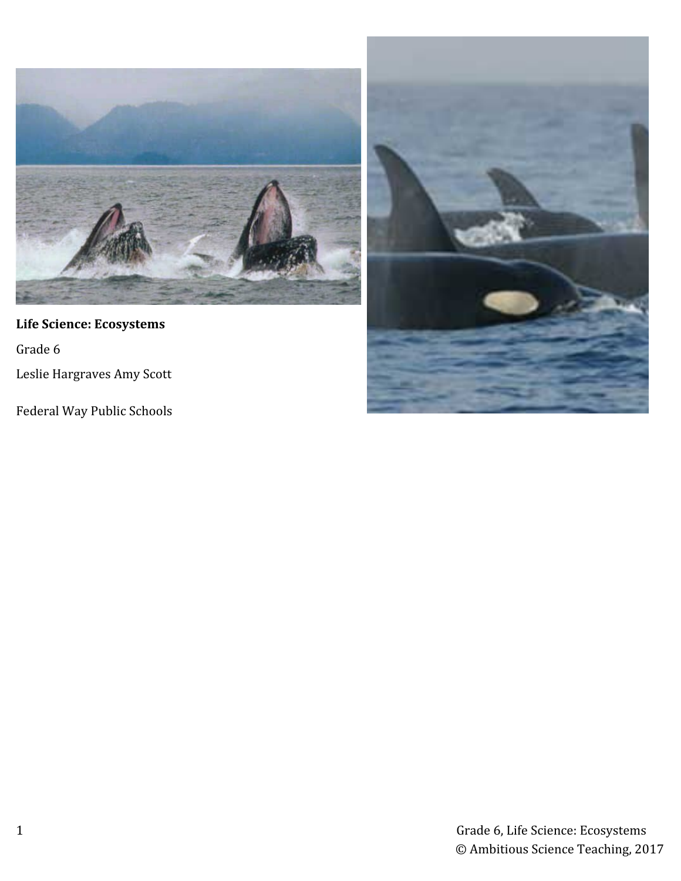

# **Life Science: Ecosystems**

Grade 6

Leslie Hargraves Amy Scott

Federal Way Public Schools

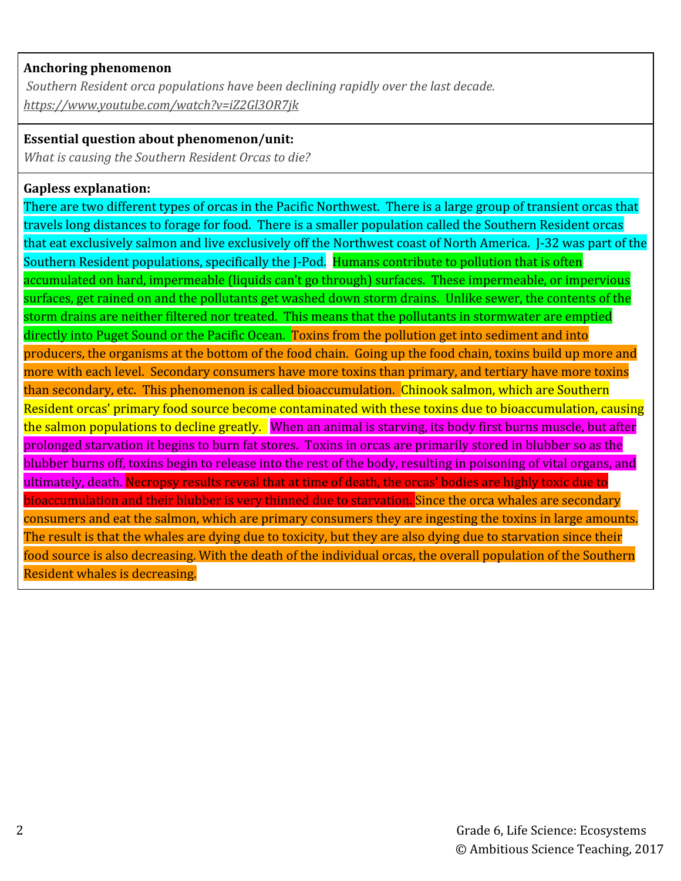### **Anchoring phenomenon**

 *Southern Resident orca populations have been declining rapidly over the last decade. <https://www.youtube.com/watch?v=iZ2Gl3OR7jk>*

### **Essential question about phenomenon/unit:**

*What is causing the Southern Resident Orcas to die?*

## **Gapless explanation:**

There are two different types of orcas in the Pacific Northwest. There is a large group of transient orcas that travels long distances to forage for food. There is a smaller population called the Southern Resident orcas that eat exclusively salmon and live exclusively off the Northwest coast of North America. J-32 was part of the Southern Resident populations, specifically the J-Pod. Humans contribute to pollution that is often accumulated on hard, impermeable (liquids can't go through) surfaces. These impermeable, or impervious surfaces, get rained on and the pollutants get washed down storm drains. Unlike sewer, the contents of the storm drains are neither filtered nor treated. This means that the pollutants in stormwater are emptied directly into Puget Sound or the Pacific Ocean. Toxins from the pollution get into sediment and into producers, the organisms at the bottom of the food chain. Going up the food chain, toxins build up more and more with each level. Secondary consumers have more toxins than primary, and tertiary have more toxins than secondary, etc. This phenomenon is called bioaccumulation. Chinook salmon, which are Southern Resident orcas' primary food source become contaminated with these toxins due to bioaccumulation, causing the salmon populations to decline greatly. When an animal is starving, its body first burns muscle, but after prolonged starvation it begins to burn fat stores. Toxins in orcas are primarily stored in blubber so as the blubber burns off, toxins begin to release into the rest of the body, resulting in poisoning of vital organs, and ultimately, death. Necropsy results reveal that at time of death, the orcas' bodies are highly toxic due to bioaccumulation and their blubber is very thinned due to starvation. Since the orca whales are secondary consumers and eat the salmon, which are primary consumers they are ingesting the toxins in large amounts. The result is that the whales are dying due to toxicity, but they are also dying due to starvation since their food source is also decreasing. With the death of the individual orcas, the overall population of the Southern Resident whales is decreasing.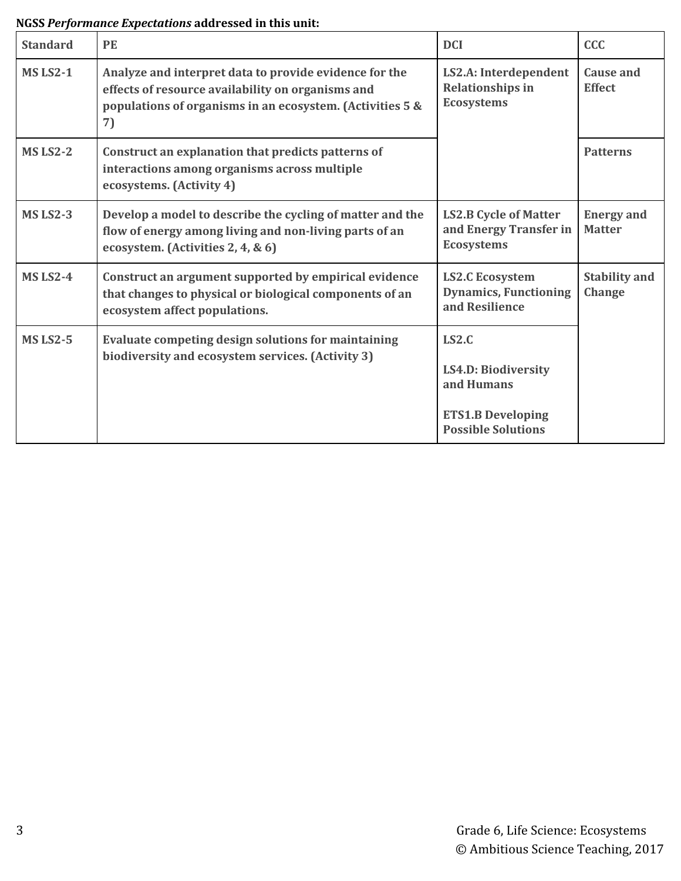# **NGSS** *Performance Expectations* **addressed in this unit:**

| <b>Standard</b> | PE                                                                                                                                                                             | <b>DCI</b>                                                                                          | <b>CCC</b>                            |
|-----------------|--------------------------------------------------------------------------------------------------------------------------------------------------------------------------------|-----------------------------------------------------------------------------------------------------|---------------------------------------|
| <b>MS LS2-1</b> | Analyze and interpret data to provide evidence for the<br>effects of resource availability on organisms and<br>populations of organisms in an ecosystem. (Activities 5 &<br>7) | LS2.A: Interdependent<br><b>Relationships in</b><br><b>Ecosystems</b>                               | <b>Cause and</b><br><b>Effect</b>     |
| <b>MS LS2-2</b> | Construct an explanation that predicts patterns of<br>interactions among organisms across multiple<br>ecosystems. (Activity 4)                                                 |                                                                                                     | <b>Patterns</b>                       |
| <b>MS LS2-3</b> | Develop a model to describe the cycling of matter and the<br>flow of energy among living and non-living parts of an<br>ecosystem. (Activities 2, 4, & 6)                       | <b>LS2.B Cycle of Matter</b><br>and Energy Transfer in<br><b>Ecosystems</b>                         | <b>Energy and</b><br><b>Matter</b>    |
| <b>MS LS2-4</b> | Construct an argument supported by empirical evidence<br>that changes to physical or biological components of an<br>ecosystem affect populations.                              | <b>LS2.C Ecosystem</b><br><b>Dynamics, Functioning</b><br>and Resilience                            | <b>Stability and</b><br><b>Change</b> |
| <b>MS LS2-5</b> | Evaluate competing design solutions for maintaining<br>biodiversity and ecosystem services. (Activity 3)                                                                       | LS2.C<br>LS4.D: Biodiversity<br>and Humans<br><b>ETS1.B Developing</b><br><b>Possible Solutions</b> |                                       |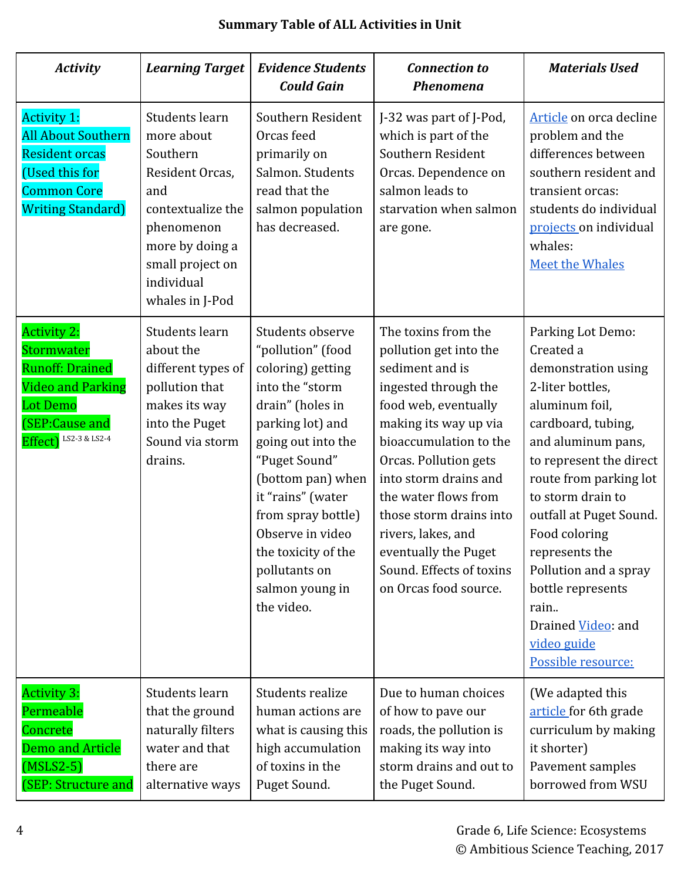| <b>Activity</b>                                                                                                                                             | <b>Learning Target</b>                                                                                                                                                        | <b>Evidence Students</b><br><b>Could Gain</b>                                                                                                                                                                                                                                                                             | <b>Connection to</b><br><b>Phenomena</b>                                                                                                                                                                                                                                                                                                                                    | <b>Materials Used</b>                                                                                                                                                                                                                                                                                                                                                                            |
|-------------------------------------------------------------------------------------------------------------------------------------------------------------|-------------------------------------------------------------------------------------------------------------------------------------------------------------------------------|---------------------------------------------------------------------------------------------------------------------------------------------------------------------------------------------------------------------------------------------------------------------------------------------------------------------------|-----------------------------------------------------------------------------------------------------------------------------------------------------------------------------------------------------------------------------------------------------------------------------------------------------------------------------------------------------------------------------|--------------------------------------------------------------------------------------------------------------------------------------------------------------------------------------------------------------------------------------------------------------------------------------------------------------------------------------------------------------------------------------------------|
| <b>Activity 1:</b><br><b>All About Southern</b><br><b>Resident orcas</b><br>(Used this for<br><b>Common Core</b><br><b>Writing Standard)</b>                | Students learn<br>more about<br>Southern<br>Resident Orcas,<br>and<br>contextualize the<br>phenomenon<br>more by doing a<br>small project on<br>individual<br>whales in J-Pod | Southern Resident<br>Orcas feed<br>primarily on<br>Salmon, Students<br>read that the<br>salmon population<br>has decreased.                                                                                                                                                                                               | J-32 was part of J-Pod,<br>which is part of the<br>Southern Resident<br>Orcas. Dependence on<br>salmon leads to<br>starvation when salmon<br>are gone.                                                                                                                                                                                                                      | Article on orca decline<br>problem and the<br>differences between<br>southern resident and<br>transient orcas:<br>students do individual<br>projects on individual<br>whales:<br><b>Meet the Whales</b>                                                                                                                                                                                          |
| <b>Activity 2:</b><br><b>Stormwater</b><br><b>Runoff: Drained</b><br><b>Video and Parking</b><br><b>Lot Demo</b><br>(SEP:Cause and<br>Effect) LS2-3 & LS2-4 | Students learn<br>about the<br>different types of<br>pollution that<br>makes its way<br>into the Puget<br>Sound via storm<br>drains.                                          | Students observe<br>"pollution" (food<br>coloring) getting<br>into the "storm<br>drain" (holes in<br>parking lot) and<br>going out into the<br>"Puget Sound"<br>(bottom pan) when<br>it "rains" (water<br>from spray bottle)<br>Observe in video<br>the toxicity of the<br>pollutants on<br>salmon young in<br>the video. | The toxins from the<br>pollution get into the<br>sediment and is<br>ingested through the<br>food web, eventually<br>making its way up via<br>bioaccumulation to the<br>Orcas. Pollution gets<br>into storm drains and<br>the water flows from<br>those storm drains into<br>rivers, lakes, and<br>eventually the Puget<br>Sound. Effects of toxins<br>on Orcas food source. | Parking Lot Demo:<br>Created a<br>demonstration using<br>2-liter bottles,<br>aluminum foil,<br>cardboard, tubing,<br>and aluminum pans,<br>to represent the direct<br>route from parking lot<br>to storm drain to<br>outfall at Puget Sound.<br>Food coloring<br>represents the<br>Pollution and a spray<br>bottle represents<br>rain<br>Drained Video: and<br>video guide<br>Possible resource: |
| <b>Activity 3:</b><br>Permeable<br>Concrete<br><b>Demo and Article</b><br>$(MSLS2-5)$<br>(SEP: Structure and                                                | Students learn<br>that the ground<br>naturally filters<br>water and that<br>there are<br>alternative ways                                                                     | Students realize<br>human actions are<br>what is causing this<br>high accumulation<br>of toxins in the<br>Puget Sound.                                                                                                                                                                                                    | Due to human choices<br>of how to pave our<br>roads, the pollution is<br>making its way into<br>storm drains and out to<br>the Puget Sound.                                                                                                                                                                                                                                 | (We adapted this<br>article for 6th grade<br>curriculum by making<br>it shorter)<br>Pavement samples<br>borrowed from WSU                                                                                                                                                                                                                                                                        |

# **Summary Table of ALL Activities in Unit**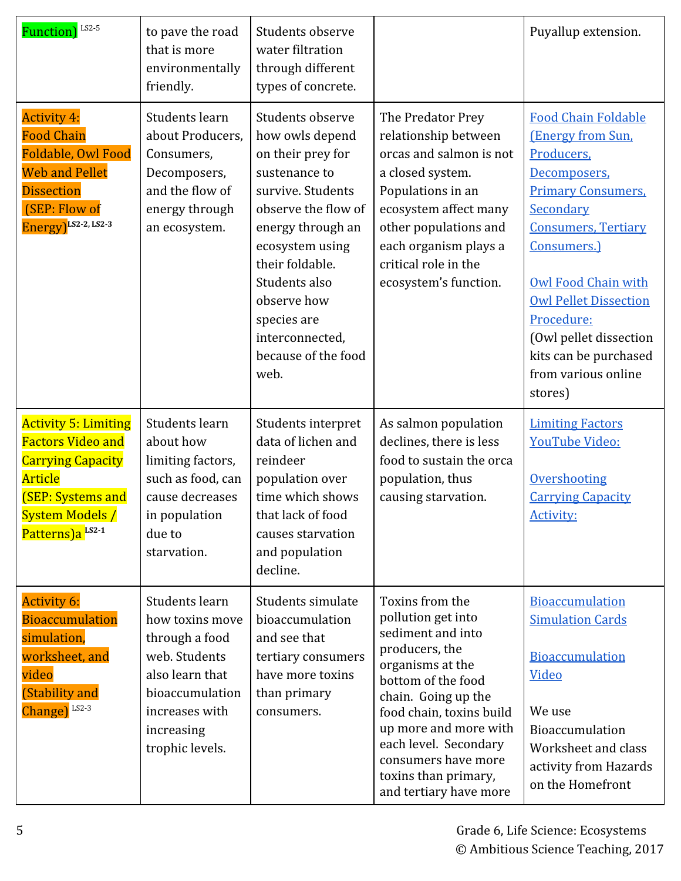| Function) <sup>LS2-5</sup>                                                                                                                                                          | to pave the road<br>that is more<br>environmentally<br>friendly.                                                                                              | Students observe<br>water filtration<br>through different<br>types of concrete.                                                                                                                                                                                                   |                                                                                                                                                                                                                                                                                                      | Puyallup extension.                                                                                                                                                                                                                                                                                                                   |
|-------------------------------------------------------------------------------------------------------------------------------------------------------------------------------------|---------------------------------------------------------------------------------------------------------------------------------------------------------------|-----------------------------------------------------------------------------------------------------------------------------------------------------------------------------------------------------------------------------------------------------------------------------------|------------------------------------------------------------------------------------------------------------------------------------------------------------------------------------------------------------------------------------------------------------------------------------------------------|---------------------------------------------------------------------------------------------------------------------------------------------------------------------------------------------------------------------------------------------------------------------------------------------------------------------------------------|
| <b>Activity 4:</b><br><b>Food Chain</b><br>Foldable, Owl Food<br><b>Web and Pellet</b><br><b>Dissection</b><br>(SEP: Flow of<br>Energy) <sup>LS2-2, LS2-3</sup>                     | Students learn<br>about Producers,<br>Consumers,<br>Decomposers,<br>and the flow of<br>energy through<br>an ecosystem.                                        | Students observe<br>how owls depend<br>on their prey for<br>sustenance to<br>survive. Students<br>observe the flow of<br>energy through an<br>ecosystem using<br>their foldable.<br>Students also<br>observe how<br>species are<br>interconnected,<br>because of the food<br>web. | The Predator Prey<br>relationship between<br>orcas and salmon is not<br>a closed system.<br>Populations in an<br>ecosystem affect many<br>other populations and<br>each organism plays a<br>critical role in the<br>ecosystem's function.                                                            | <b>Food Chain Foldable</b><br>(Energy from Sun,<br>Producers,<br>Decomposers,<br><b>Primary Consumers,</b><br>Secondary<br><b>Consumers, Tertiary</b><br>Consumers.)<br><b>Owl Food Chain with</b><br><b>Owl Pellet Dissection</b><br>Procedure:<br>(Owl pellet dissection<br>kits can be purchased<br>from various online<br>stores) |
| <b>Activity 5: Limiting</b><br><b>Factors Video and</b><br><b>Carrying Capacity</b><br>Article<br><b>(SEP: Systems and</b><br><b>System Models /</b><br>Patterns)a <sup>LS2-1</sup> | Students learn<br>about how<br>limiting factors,<br>such as food, can<br>cause decreases<br>in population<br>due to<br>starvation.                            | Students interpret<br>data of lichen and<br>reindeer<br>population over<br>time which shows<br>that lack of food<br>causes starvation<br>and population<br>decline.                                                                                                               | As salmon population<br>declines, there is less<br>food to sustain the orca<br>population, thus<br>causing starvation.                                                                                                                                                                               | <b>Limiting Factors</b><br>YouTube Video:<br>Overshooting<br><b>Carrying Capacity</b><br><b>Activity:</b>                                                                                                                                                                                                                             |
| <b>Activity 6:</b><br><b>Bioaccumulation</b><br>simulation,<br>worksheet, and<br>video<br>(Stability and<br>Change) LS2-3                                                           | Students learn<br>how toxins move<br>through a food<br>web. Students<br>also learn that<br>bioaccumulation<br>increases with<br>increasing<br>trophic levels. | Students simulate<br>bioaccumulation<br>and see that<br>tertiary consumers<br>have more toxins<br>than primary<br>consumers.                                                                                                                                                      | Toxins from the<br>pollution get into<br>sediment and into<br>producers, the<br>organisms at the<br>bottom of the food<br>chain. Going up the<br>food chain, toxins build<br>up more and more with<br>each level. Secondary<br>consumers have more<br>toxins than primary,<br>and tertiary have more | Bioaccumulation<br><b>Simulation Cards</b><br>Bioaccumulation<br>Video<br>We use<br>Bioaccumulation<br>Worksheet and class<br>activity from Hazards<br>on the Homefront                                                                                                                                                               |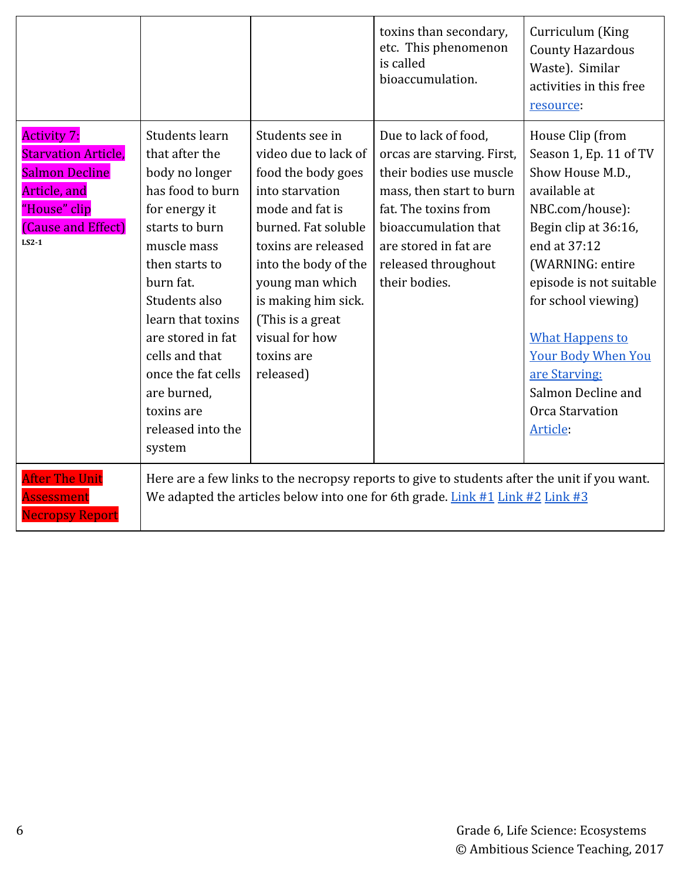|                                                                                                                                            |                                                                                                                                                                                                                                                                                                                        |                                                                                                                                                                                                                                                                                      | toxins than secondary,<br>etc. This phenomenon<br>is called<br>bioaccumulation.                                                                                                                                            | Curriculum (King<br><b>County Hazardous</b><br>Waste). Similar<br>activities in this free<br>resource:                                                                                                                                                                                                                                       |
|--------------------------------------------------------------------------------------------------------------------------------------------|------------------------------------------------------------------------------------------------------------------------------------------------------------------------------------------------------------------------------------------------------------------------------------------------------------------------|--------------------------------------------------------------------------------------------------------------------------------------------------------------------------------------------------------------------------------------------------------------------------------------|----------------------------------------------------------------------------------------------------------------------------------------------------------------------------------------------------------------------------|----------------------------------------------------------------------------------------------------------------------------------------------------------------------------------------------------------------------------------------------------------------------------------------------------------------------------------------------|
| <b>Activity 7:</b><br><b>Starvation Article,</b><br><b>Salmon Decline</b><br>Article, and<br>"House" clip<br>(Cause and Effect)<br>$LS2-1$ | Students learn<br>that after the<br>body no longer<br>has food to burn<br>for energy it<br>starts to burn<br>muscle mass<br>then starts to<br>burn fat.<br>Students also<br>learn that toxins<br>are stored in fat<br>cells and that<br>once the fat cells<br>are burned,<br>toxins are<br>released into the<br>system | Students see in<br>video due to lack of<br>food the body goes<br>into starvation<br>mode and fat is<br>burned. Fat soluble<br>toxins are released<br>into the body of the<br>young man which<br>is making him sick.<br>(This is a great<br>visual for how<br>toxins are<br>released) | Due to lack of food,<br>orcas are starving. First,<br>their bodies use muscle<br>mass, then start to burn<br>fat. The toxins from<br>bioaccumulation that<br>are stored in fat are<br>released throughout<br>their bodies. | House Clip (from<br>Season 1, Ep. 11 of TV<br>Show House M.D.,<br>available at<br>NBC.com/house):<br>Begin clip at 36:16,<br>end at 37:12<br>(WARNING: entire<br>episode is not suitable<br>for school viewing)<br><b>What Happens to</b><br><b>Your Body When You</b><br>are Starving:<br>Salmon Decline and<br>Orca Starvation<br>Article: |
| After The Unit<br><b>Assessment</b><br><b>Necropsy Report</b>                                                                              | Here are a few links to the necropsy reports to give to students after the unit if you want.<br>We adapted the articles below into one for 6th grade. Link #1 Link #2 Link #3                                                                                                                                          |                                                                                                                                                                                                                                                                                      |                                                                                                                                                                                                                            |                                                                                                                                                                                                                                                                                                                                              |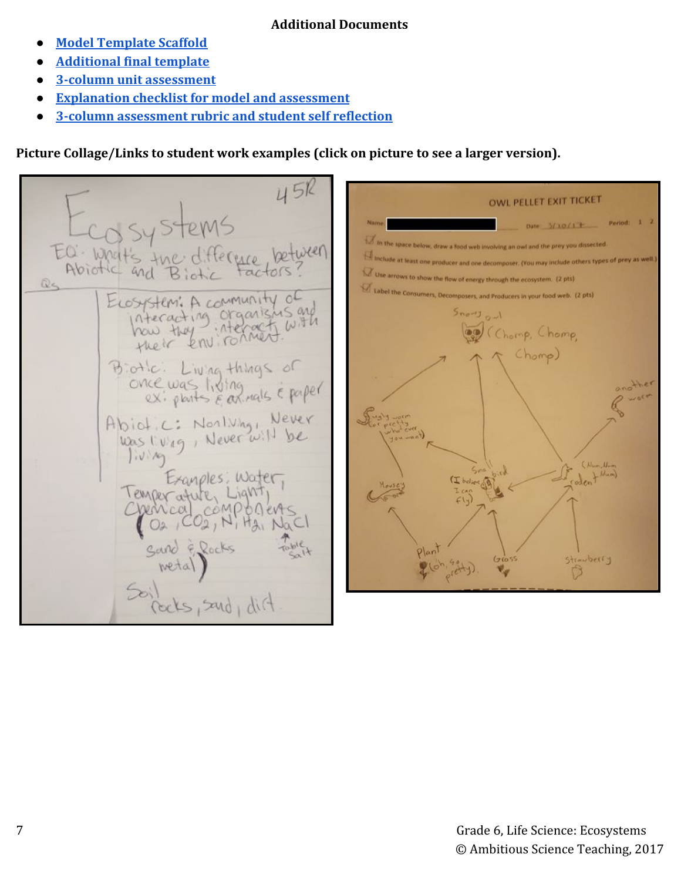### **Additional Documents**

- **● [Model Template Scaffold](https://docs.google.com/presentation/d/178QNvbzbWXicqaKQJ-v4xlj600JCyekzJYnPjZTYfHA/edit?usp=sharing)**
- **● [Additional final template](https://docs.google.com/presentation/d/1-1m8mGB4xEvUHeObTLkRK9PC6xFVVGjAr5kVlasedg4/edit?usp=sharing)**
- **● [3-column unit assessment](https://drive.google.com/file/d/1wiMrkS2tf9-GEEEvJYSF7LbnGj-SoFr_/view?usp=sharing)**
- **[Explanation checklist for model and assessment](https://drive.google.com/file/d/1QxIIgiL6Uz6-omzvSQENSpMrq59aHSYf/view?usp=sharing)**
- **● [3-column assessment rubric and student self reflection](https://drive.google.com/file/d/1GjpXiVpCM7tH-3bmUxVs3py7-xJO_Os4/view?usp=sharing)**

**Picture Collage/Links to student work examples (click on picture to see a larger version).**

45R **OWL PELLET EXIT TICKET** Period: 1 2 Date:  $3/10/17$ In the space below, draw a food web involving an owl and the prey you dissected EQ: What's the ide at least one producer and one decomposer. (You may include others types of prey as well.) Abiotic and Use arrows to show the flow of energy through the ecosystem. (2 pts)  $Q<sub>5</sub>$ Label the Consumers, Decomposers, and Producers in your food web. (2 pts) ELOSYStem: A community of here they are the the  $S_{\text{no}-1}$ (Chomp, Chomp, Chomp) Biotic: Living things of once was living make & paper Abiot.c: Northing, Never<br>Was living, Never will be  $|W|$ L Num) Exanples, Water, lemper ature, Lig Chencal composer  $[O_4, CO_2, N]$ strawberry Ò els, sand, dirt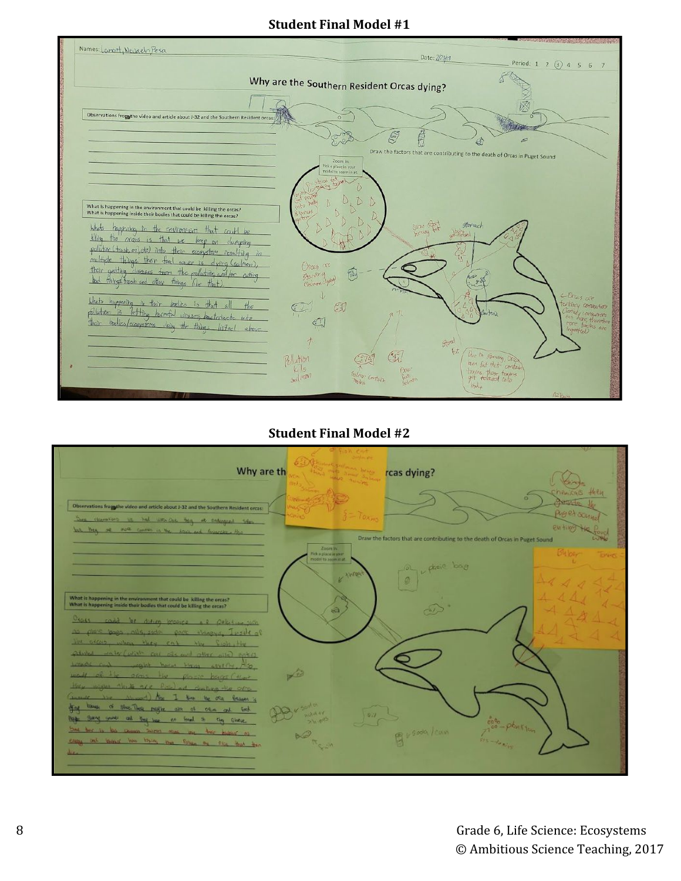## **Student Final Model #1**



## **Student Final Model #2**